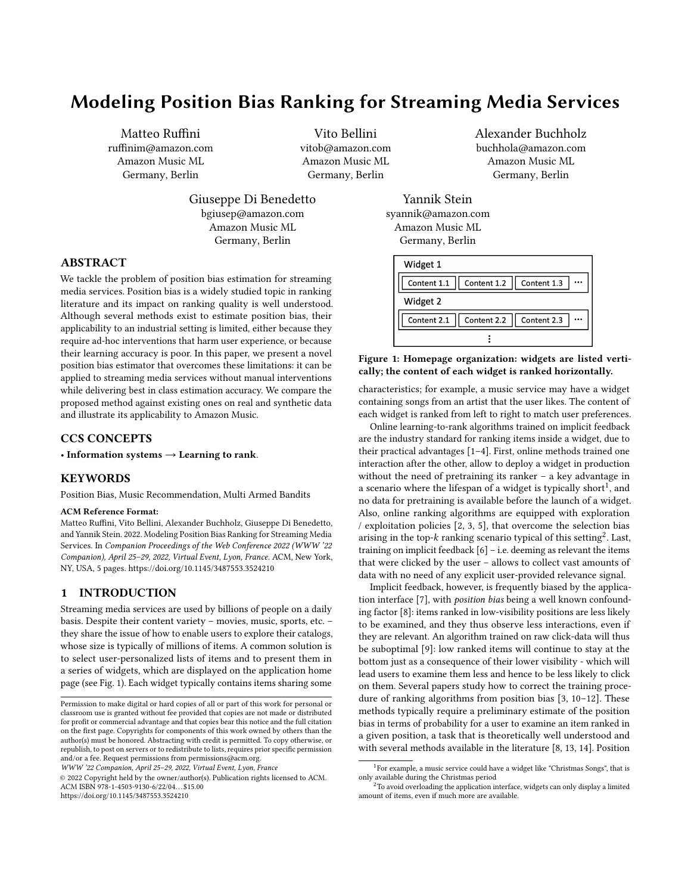# <span id="page-0-1"></span>Modeling Position Bias Ranking for Streaming Media Services

Matteo Ruffini ruffinim@amazon.com Amazon Music ML Germany, Berlin

Vito Bellini vitob@amazon.com Amazon Music ML Germany, Berlin

Giuseppe Di Benedetto bgiusep@amazon.com Amazon Music ML Germany, Berlin

Alexander Buchholz buchhola@amazon.com Amazon Music ML Germany, Berlin

#### ABSTRACT

We tackle the problem of position bias estimation for streaming media services. Position bias is a widely studied topic in ranking literature and its impact on ranking quality is well understood. Although several methods exist to estimate position bias, their applicability to an industrial setting is limited, either because they require ad-hoc interventions that harm user experience, or because their learning accuracy is poor. In this paper, we present a novel position bias estimator that overcomes these limitations: it can be applied to streaming media services without manual interventions while delivering best in class estimation accuracy. We compare the proposed method against existing ones on real and synthetic data and illustrate its applicability to Amazon Music.

# CCS CONCEPTS

• Information systems  $\rightarrow$  Learning to rank.

#### KEYWORDS

Position Bias, Music Recommendation, Multi Armed Bandits

#### ACM Reference Format:

Matteo Ruffini, Vito Bellini, Alexander Buchholz, Giuseppe Di Benedetto, and Yannik Stein. 2022. Modeling Position Bias Ranking for Streaming Media Services. In Companion Proceedings of the Web Conference 2022 (WWW '22 Companion), April 25–29, 2022, Virtual Event, Lyon, France. ACM, New York, NY, USA, [5](#page-4-0) pages.<https://doi.org/10.1145/3487553.3524210>

### <span id="page-0-2"></span>1 INTRODUCTION

Streaming media services are used by billions of people on a daily basis. Despite their content variety – movies, music, sports, etc. – they share the issue of how to enable users to explore their catalogs, whose size is typically of millions of items. A common solution is to select user-personalized lists of items and to present them in a series of widgets, which are displayed on the application home page (see Fig. [1\)](#page-0-0). Each widget typically contains items sharing some

WWW '22 Companion, April 25–29, 2022, Virtual Event, Lyon, France

© 2022 Copyright held by the owner/author(s). Publication rights licensed to ACM. ACM ISBN 978-1-4503-9130-6/22/04. . . \$15.00 <https://doi.org/10.1145/3487553.3524210>

Yannik Stein syannik@amazon.com Amazon Music ML Germany, Berlin

<span id="page-0-0"></span>

#### Figure 1: Homepage organization: widgets are listed vertically; the content of each widget is ranked horizontally.

characteristics; for example, a music service may have a widget containing songs from an artist that the user likes. The content of each widget is ranked from left to right to match user preferences.

Online learning-to-rank algorithms trained on implicit feedback are the industry standard for ranking items inside a widget, due to their practical advantages [\[1](#page-4-1)[–4\]](#page-4-2). First, online methods trained one interaction after the other, allow to deploy a widget in production without the need of pretraining its ranker – a key advantage in a scenario where the lifespan of a widget is typically short<sup>1</sup>, and no data for pretraining is available before the launch of a widget. Also, online ranking algorithms are equipped with exploration / exploitation policies [\[2,](#page-4-3) [3,](#page-4-4) [5\]](#page-4-5), that overcome the selection bias arising in the top-k ranking scenario typical of this setting<sup>2</sup>. Last,<br>training on implicit feedback  $\lceil 6 \rceil - i$  e, deeming as relevant the items training on implicit feedback [\[6\]](#page-4-6) – i.e. deeming as relevant the items that were clicked by the user – allows to collect vast amounts of data with no need of any explicit user-provided relevance signal.

Implicit feedback, however, is frequently biased by the application interface [\[7\]](#page-4-7), with position bias being a well known confounding factor [\[8\]](#page-4-8): items ranked in low-visibility positions are less likely to be examined, and they thus observe less interactions, even if they are relevant. An algorithm trained on raw click-data will thus be suboptimal [\[9\]](#page-4-9): low ranked items will continue to stay at the bottom just as a consequence of their lower visibility - which will lead users to examine them less and hence to be less likely to click on them. Several papers study how to correct the training procedure of ranking algorithms from position bias [\[3,](#page-4-4) [10–](#page-4-10)[12\]](#page-4-11). These methods typically require a preliminary estimate of the position bias in terms of probability for a user to examine an item ranked in a given position, a task that is theoretically well understood and with several methods available in the literature [\[8,](#page-4-8) [13,](#page-4-12) [14\]](#page-4-13). Position

Permission to make digital or hard copies of all or part of this work for personal or classroom use is granted without fee provided that copies are not made or distributed for profit or commercial advantage and that copies bear this notice and the full citation on the first page. Copyrights for components of this work owned by others than the author(s) must be honored. Abstracting with credit is permitted. To copy otherwise, or republish, to post on servers or to redistribute to lists, requires prior specific permission and/or a fee. Request permissions from permissions@acm.org.

<sup>&</sup>lt;sup>1</sup> For example, a music service could have a widget like "Christmas Songs", that is only available during the Christmas period

<sup>&</sup>lt;sup>2</sup>To avoid overloading the application interface, widgets can only display a limited amount of items, even if much more are available.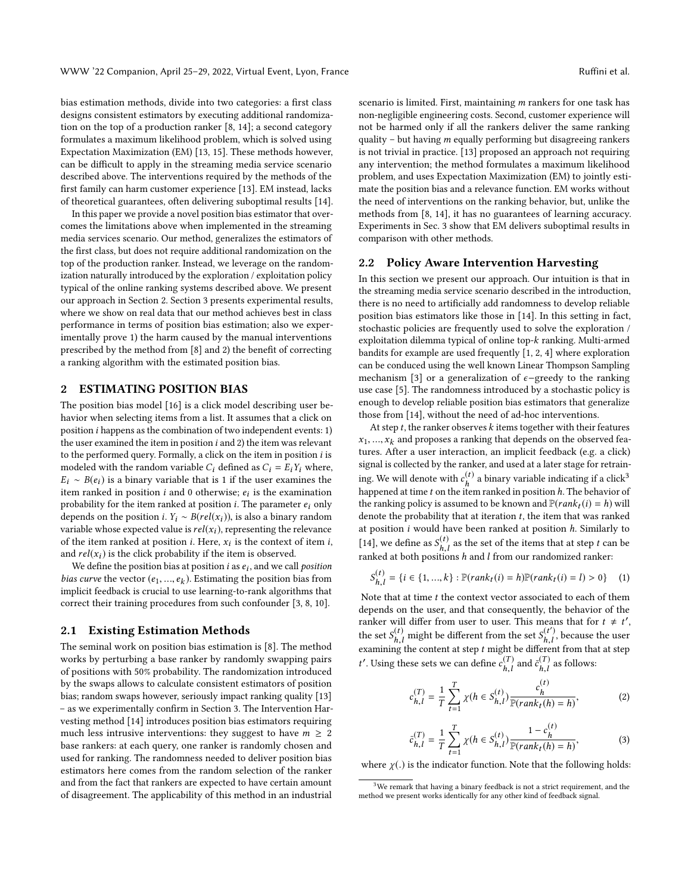bias estimation methods, divide into two categories: a first class designs consistent estimators by executing additional randomization on the top of a production ranker [\[8,](#page-4-8) [14\]](#page-4-13); a second category formulates a maximum likelihood problem, which is solved using Expectation Maximization (EM) [\[13,](#page-4-12) [15\]](#page-4-14). These methods however, can be difficult to apply in the streaming media service scenario described above. The interventions required by the methods of the first family can harm customer experience [\[13\]](#page-4-12). EM instead, lacks of theoretical guarantees, often delivering suboptimal results [\[14\]](#page-4-13).

In this paper we provide a novel position bias estimator that overcomes the limitations above when implemented in the streaming media services scenario. Our method, generalizes the estimators of the first class, but does not require additional randomization on the top of the production ranker. Instead, we leverage on the randomization naturally introduced by the exploration / exploitation policy typical of the online ranking systems described above. We present our approach in Section [2.](#page-1-0) Section [3](#page-2-0) presents experimental results, where we show on real data that our method achieves best in class performance in terms of position bias estimation; also we experimentally prove 1) the harm caused by the manual interventions prescribed by the method from [\[8\]](#page-4-8) and 2) the benefit of correcting a ranking algorithm with the estimated position bias.

## <span id="page-1-0"></span>2 ESTIMATING POSITION BIAS

The position bias model [\[16\]](#page-4-15) is a click model describing user behavior when selecting items from a list. It assumes that a click on position i happens as the combination of two independent events: 1) the user examined the item in position i and 2) the item was relevant to the performed query. Formally, a click on the item in position i is modeled with the random variable  $C_i$  defined as  $C_i = E_i Y_i$  where,  $E_i \sim B(e_i)$  is a binary variable that is 1 if the user examines the item ranked in position *i* and 0 otherwise;  $e_i$  is the examination<br>probability for the item ranked at position *i*. The parameter  $e_i$  only probability for the item ranked at position *i*. The parameter  $e_i$  only depends on the position *i*.  $Y_i \sim B(\text{rel}(x_i))$ , is also a binary random variable whose expected value is  $rel(x_i)$ , representing the relevance of the item ranked at position *i*. Here,  $x_i$  is the context of item *i*, and  $rel(x_i)$  is the click probability if the item is observed and  $rel(x_i)$  is the click probability if the item is observed.

We define the position bias at position *i* as  $e_i$ , and we call *position*<br>securing the vector  $(e_i, \ldots, e_k)$ . Estimating the position bias from *bias curve* the vector  $(e_1, ..., e_k)$ . Estimating the position bias from implicit feedbook is crucial to use learning to rank algorithms that implicit feedback is crucial to use learning-to-rank algorithms that correct their training procedures from such confounder [\[3,](#page-4-4) [8,](#page-4-8) [10\]](#page-4-10).

#### 2.1 Existing Estimation Methods

The seminal work on position bias estimation is [\[8\]](#page-4-8). The method works by perturbing a base ranker by randomly swapping pairs of positions with 50% probability. The randomization introduced by the swaps allows to calculate consistent estimators of position bias; random swaps however, seriously impact ranking quality [\[13\]](#page-4-12) – as we experimentally confirm in Section [3.](#page-2-0) The Intervention Harvesting method [\[14\]](#page-4-13) introduces position bias estimators requiring much less intrusive interventions: they suggest to have  $m \geq 2$ base rankers: at each query, one ranker is randomly chosen and used for ranking. The randomness needed to deliver position bias estimators here comes from the random selection of the ranker and from the fact that rankers are expected to have certain amount of disagreement. The applicability of this method in an industrial

scenario is limited. First, maintaining m rankers for one task has non-negligible engineering costs. Second, customer experience will not be harmed only if all the rankers deliver the same ranking quality – but having m equally performing but disagreeing rankers is not trivial in practice. [\[13\]](#page-4-12) proposed an approach not requiring any intervention; the method formulates a maximum likelihood problem, and uses Expectation Maximization (EM) to jointly estimate the position bias and a relevance function. EM works without the need of interventions on the ranking behavior, but, unlike the methods from [\[8,](#page-4-8) [14\]](#page-4-13), it has no guarantees of learning accuracy. Experiments in Sec. [3](#page-2-0) show that EM delivers suboptimal results in comparison with other methods.

#### <span id="page-1-3"></span>2.2 Policy Aware Intervention Harvesting

In this section we present our approach. Our intuition is that in the streaming media service scenario described in the introduction, there is no need to artificially add randomness to develop reliable position bias estimators like those in [\[14\]](#page-4-13). In this setting in fact, stochastic policies are frequently used to solve the exploration / exploitation dilemma typical of online top-k ranking. Multi-armed bandits for example are used frequently [\[1,](#page-4-1) [2,](#page-4-3) [4\]](#page-4-2) where exploration can be conduced using the well known Linear Thompson Sampling mechanism [\[3\]](#page-4-4) or a generalization of  $\epsilon$ −greedy to the ranking use case [\[5\]](#page-4-5). The randomness introduced by a stochastic policy is enough to develop reliable position bias estimators that generalize those from [\[14\]](#page-4-13), without the need of ad-hoc interventions.

At step  $t$ , the ranker observes  $k$  items together with their features  $x_1, ..., x_k$  and proposes a ranking that depends on the observed features. After a user interaction, an implicit feedback (e.g. a click) signal is collected by the ranker, and used at a later stage for retraining. We will denote with  $c_h^{(t)}$  $\binom{h}{h}$  a binary variable indicating if a click<sup>[3](#page-0-1)</sup> happened at time t on the item ranked in position h. The behavior of<br>the ranking policy is assumed to be known and  $\mathbb{P}(rank.(i) = h)$  will the ranking policy is assumed to be known and  $\mathbb{P}(rank_t(i) = h)$  will denote the probability that at iteration  $t$ , the item that was ranked at position  $i$  would have been ranked at position  $h$ . Similarly to [\[14\]](#page-4-13), we define as  $S_{h,l}^{(t)}$  $\binom{h}{h,l}$  as the set of the items that at step t can be tions h and l from our randomized ranker: ranked at both positions h and l from our randomized ranker:

$$
S_{h,l}^{(t)} = \{i \in \{1, ..., k\} : \mathbb{P}(rank_t(i) = h)\mathbb{P}(rank_t(i) = l) > 0\} \tag{1}
$$

Note that at time  $t$  the context vector associated to each of them<br>depends on the user and that consequently, the behavior of the depends on the user, and that consequently, the behavior of the ranker will differ from user to user. This means that for  $t \neq t'$ , the set  $S^{(t)}$  might be different from the set  $S^{(t')}$  because the user the set  $S_{h,i}^{(t)}$  $\binom{t}{h,l}$  might be different from the set  $S_{h,l}^{(t')}$ <br>no the content at step t might be different  $h, l$ , because the user<br>rent from that at sten examining the content at step t might be different from that at step  $\mathcal{L}(X)$ '. Using these sets we can define  $c_{h,l}^{(T)}$  $\bar{c}_{h,l}^{(T)}$  and  $\bar{c}_{h,l}^{(T)}$  $\binom{(T)}{h,l}$  as follows:

<span id="page-1-1"></span>
$$
c_{h,l}^{(T)} = \frac{1}{T} \sum_{t=1}^{T} \chi(h \in S_{h,l}^{(t)}) \frac{c_h^{(t)}}{\mathbb{P}(rank_t(h) = h)},
$$
 (2)

<span id="page-1-2"></span>
$$
\bar{c}_{h,l}^{(T)} = \frac{1}{T} \sum_{t=1}^{T} \chi(h \in S_{h,l}^{(t)}) \frac{1 - c_h^{(t)}}{\mathbb{P}(rank_t(h) = h)},
$$
\n(3)

where  $\chi(.)$  is the indicator function. Note that the following holds:

 $3$ We remark that having a binary feedback is not a strict requirement, and the method we present works identically for any other kind of feedback signal.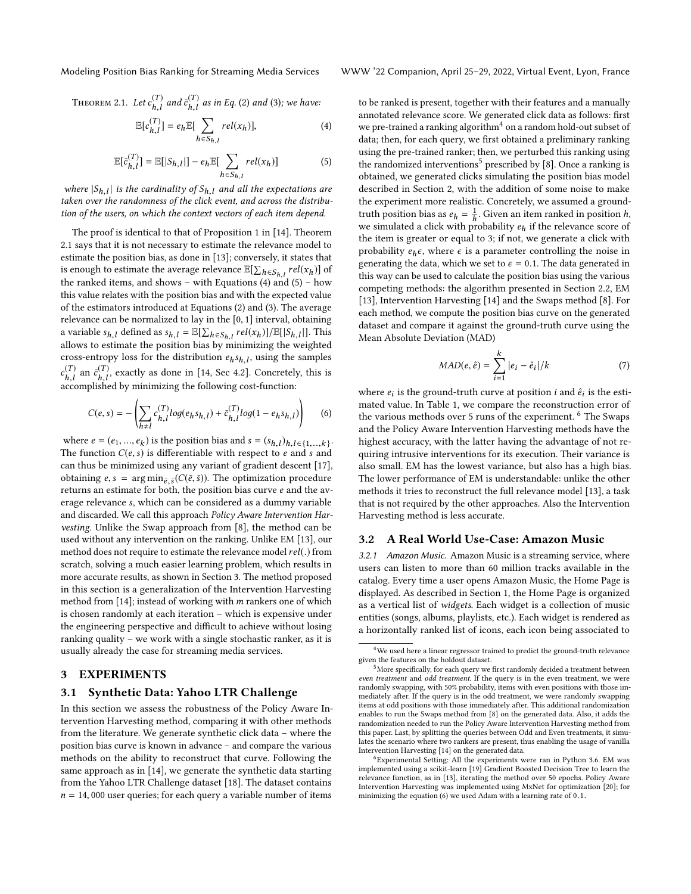<span id="page-2-1"></span>Theorem 2.1. Let  $c_{h,l}^{(T)}$  $\bar{h}^{(T)}_{h,l}$  and  $\bar{c}^{(T)}_{h,l}$  $_{h,l}^{(T)}$  as in Eq. [\(2\)](#page-1-1) and [\(3\)](#page-1-2); we have:

<span id="page-2-2"></span>
$$
\mathbb{E}[c_{h,l}^{(T)}] = e_h \mathbb{E}[\sum_{h \in S_{h,l}} rel(x_h)], \tag{4}
$$

<span id="page-2-3"></span>
$$
\mathbb{E}[\bar{c}_{h,l}^{(T)}] = \mathbb{E}[|S_{h,l}|] - e_h \mathbb{E}[\sum_{h \in S_{h,l}} rel(x_h)] \tag{5}
$$

where  $|S_{h,l}|$  is the cardinality of  $S_{h,l}$  and all the expectations are<br>caken over the randomness of the click event, and across the distributaken over the randomness of the click event, and across the distribution of the users, on which the context vectors of each item depend.

The proof is identical to that of Proposition 1 in [\[14\]](#page-4-13). Theorem [2.1](#page-2-1) says that it is not necessary to estimate the relevance model to estimate the position bias, as done in [\[13\]](#page-4-12); conversely, it states that is enough to estimate the average relevance  $\mathbb{E}[\sum_{h \in S_{h,l}} rel(x_h)]$  of<br>the replied items, and shows with Equations (4) and (5) however the ranked items, and shows – with Equations  $(4)$  and  $(5)$  – how this value relates with the position bias and with the expected value of the estimators introduced at Equations [\(2\)](#page-1-1) and [\(3\)](#page-1-2). The average relevance can be normalized to lay in the [0, <sup>1</sup>] interval, obtaining a variable  $s_{h,l}$  defined as  $s_{h,l} = \mathbb{E}[\sum_{h \in S_{h,l}} rel(x_h)] / \mathbb{E}[|S_{h,l}|]$ . This allows to estimate the position bias by minimizing the weighted cross-entropy loss for the distribution  $e_h s_{h,l}$ , using the samples  $(T)$   $(T)$  $\epsilon_{h,l}$  and  $\epsilon_{h,l}$ , called by minimizing the following cost-function:  $\begin{pmatrix} T \\ h, l \end{pmatrix}$  an  $\bar{c}_{h,l}^{(T)}$ , exactly as done in [\[14,](#page-4-13) Sec 4.2]. Concretely, this is

<span id="page-2-4"></span>
$$
C(e,s) = -\left(\sum_{h \neq l} c_{h,l}^{(T)} log(e_h s_{h,l}) + \bar{c}_{h,l}^{(T)} log(1 - e_h s_{h,l})\right)
$$
(6)

where  $e = (e_1, ..., e_k)$  is the position bias and  $s = (s_{h,l})_{h,l \in \{1,...,k\}}$ .<br>The function  $C(e, s)$  is differentiable with respect to e and s and The function  $C(e, s)$  is differentiable with respect to e and s and can thus be minimized using any variant of gradient descent [\[17\]](#page-4-16), obtaining  $e, s = \arg \min_{\tilde{e}, \tilde{s}} (C(\tilde{e}, \tilde{s}))$ . The optimization procedure returns an estimate for both, the position bias curve e and the average relevance s, which can be considered as a dummy variable and discarded. We call this approach Policy Aware Intervention Harvesting. Unlike the Swap approach from [\[8\]](#page-4-8), the method can be used without any intervention on the ranking. Unlike EM [\[13\]](#page-4-12), our method does not require to estimate the relevance model  $rel(.)$  from scratch, solving a much easier learning problem, which results in more accurate results, as shown in Section [3.](#page-2-0) The method proposed in this section is a generalization of the Intervention Harvesting method from [\[14\]](#page-4-13); instead of working with m rankers one of which is chosen randomly at each iteration – which is expensive under the engineering perspective and difficult to achieve without losing ranking quality – we work with a single stochastic ranker, as it is usually already the case for streaming media services.

# <span id="page-2-0"></span>3 EXPERIMENTS

#### <span id="page-2-5"></span>3.1 Synthetic Data: Yahoo LTR Challenge

In this section we assess the robustness of the Policy Aware Intervention Harvesting method, comparing it with other methods from the literature. We generate synthetic click data – where the position bias curve is known in advance – and compare the various methods on the ability to reconstruct that curve. Following the same approach as in [\[14\]](#page-4-13), we generate the synthetic data starting from the Yahoo LTR Challenge dataset [\[18\]](#page-4-17). The dataset contains  $n = 14,000$  user queries; for each query a variable number of items

Modeling Position Bias Ranking for Streaming Media Services WWW '22 Companion, April 25–29, 2022, Virtual Event, Lyon, France

to be ranked is present, together with their features and a manually annotated relevance score. We generated click data as follows: first we pre-trained a ranking algorithm<sup>[4](#page-0-1)</sup> on a random hold-out subset of data; then, for each query, we first obtained a preliminary ranking using the pre-trained ranker; then, we perturbed this ranking using the randomized interventions<sup>[5](#page-0-1)</sup> prescribed by [\[8\]](#page-4-8). Once a ranking is obtained, we generated clicks simulating the position bias model described in Section [2,](#page-1-0) with the addition of some noise to make the experiment more realistic. Concretely, we assumed a groundtruth position bias as  $e_h = \frac{1}{h}$ <br>we simulated a click with pr  $\frac{1}{h}$ . Given an item ranked in position *h*, we simulated a click with probability  $e_h$  if the relevance score of the item is greater or equal to 3; if not, we generate a click with probability  $e_h \epsilon$ , where  $\epsilon$  is a parameter controlling the noise in generating the data, which we set to  $\epsilon = 0.1$ . The data generated in this way can be used to calculate the position bias using the various competing methods: the algorithm presented in Section [2.2,](#page-1-3) EM [\[13\]](#page-4-12), Intervention Harvesting [\[14\]](#page-4-13) and the Swaps method [\[8\]](#page-4-8). For each method, we compute the position bias curve on the generated dataset and compare it against the ground-truth curve using the Mean Absolute Deviation (MAD)

<span id="page-2-6"></span>
$$
MAD(e, \hat{e}) = \sum_{i=1}^{k} |e_i - \hat{e}_i| / k \tag{7}
$$

where  $e_i$  is the ground-truth curve at position *i* and  $\hat{e}_i$  is the esti-<br>mated value. In Table 1, we compare the reconstruction error of mated value. In Table [1,](#page-3-0) we compare the reconstruction error of the various methods over 5 runs of the experiment. <sup>[6](#page-0-1)</sup> The Swaps and the Policy Aware Intervention Harvesting methods have the highest accuracy, with the latter having the advantage of not requiring intrusive interventions for its execution. Their variance is also small. EM has the lowest variance, but also has a high bias. The lower performance of EM is understandable: unlike the other methods it tries to reconstruct the full relevance model [\[13\]](#page-4-12), a task that is not required by the other approaches. Also the Intervention Harvesting method is less accurate.

## 3.2 A Real World Use-Case: Amazon Music

3.2.1 Amazon Music. Amazon Music is a streaming service, where users can listen to more than 60 million tracks available in the catalog. Every time a user opens Amazon Music, the Home Page is displayed. As described in Section [1,](#page-0-2) the Home Page is organized as a vertical list of widgets. Each widget is a collection of music entities (songs, albums, playlists, etc.). Each widget is rendered as a horizontally ranked list of icons, each icon being associated to

 $^4\rm{We}$  used here a linear regressor trained to predict the ground-truth relevance given the features on the holdout dataset.

 $^5$  More specifically, for each query we first randomly decided a treatment between even treatment and odd treatment. If the query is in the even treatment, we were randomly swapping, with 50% probability, items with even positions with those immediately after. If the query is in the odd treatment, we were randomly swapping items at odd positions with those immediately after. This additional randomization enables to run the Swaps method from [\[8\]](#page-4-8) on the generated data. Also, it adds the randomization needed to run the Policy Aware Intervention Harvesting method from this paper. Last, by splitting the queries between Odd and Even treatments, it simulates the scenario where two rankers are present, thus enabling the usage of vanilla Intervention Harvesting [\[14\]](#page-4-13) on the generated data.

 $6$ Experimental Setting: All the experiments were ran in Python 3.6. EM was implemented using a scikit-learn [\[19\]](#page-4-18) Gradient Boosted Decision Tree to learn the relevance function, as in [\[13\]](#page-4-12), iterating the method over 50 epochs. Policy Aware Intervention Harvesting was implemented using MxNet for optimization [\[20\]](#page-4-19); for minimizing the equation [\(6\)](#page-2-4) we used Adam with a learning rate of <sup>0</sup>.1.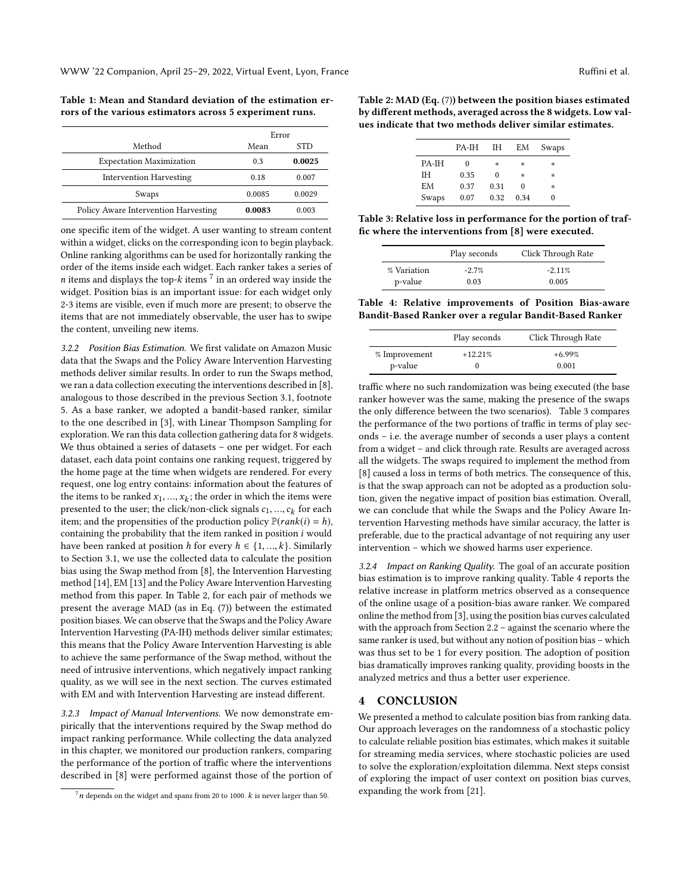<span id="page-3-0"></span>Table 1: Mean and Standard deviation of the estimation errors of the various estimators across 5 experiment runs.

|                                      | Error  |        |
|--------------------------------------|--------|--------|
| Method                               | Mean   | STD    |
| <b>Expectation Maximization</b>      | 03     | 0.0025 |
| <b>Intervention Harvesting</b>       | 0.18   | 0.007  |
| Swaps                                | 0.0085 | 0.0029 |
| Policy Aware Intervention Harvesting | 0.0083 | 0.003  |

one specific item of the widget. A user wanting to stream content within a widget, clicks on the corresponding icon to begin playback. Online ranking algorithms can be used for horizontally ranking the order of the items inside each widget. Each ranker takes a series of *n* items and displays the top- $k$  items  $\frac{7}{1}$  $\frac{7}{1}$  $\frac{7}{1}$  in an ordered way inside the widget polynomials is an important issue: for each widget only widget. Position bias is an important issue: for each widget only 2-3 items are visible, even if much more are present; to observe the items that are not immediately observable, the user has to swipe the content, unveiling new items.

3.2.2 Position Bias Estimation. We first validate on Amazon Music data that the Swaps and the Policy Aware Intervention Harvesting methods deliver similar results. In order to run the Swaps method, we ran a data collection executing the interventions described in [\[8\]](#page-4-8), analogous to those described in the previous Section [3.1,](#page-2-5) footnote [5.](#page-2-5) As a base ranker, we adopted a bandit-based ranker, similar to the one described in [\[3\]](#page-4-4), with Linear Thompson Sampling for exploration. We ran this data collection gathering data for 8 widgets. We thus obtained a series of datasets – one per widget. For each dataset, each data point contains one ranking request, triggered by the home page at the time when widgets are rendered. For every request, one log entry contains: information about the features of the items to be ranked  $x_1, ..., x_k$ ; the order in which the items were<br>presented to the user the click/non-click signals  $c_k$  = c for each presented to the user; the click/non-click signals  $c_1, ..., c_k$  for each item: and the propensities of the production policy  $\mathbb{P}(rank(i) - h)$ item; and the propensities of the production policy  $\mathbb{P}(rank(i) = h)$ , containing the probability that the item ranked in position  $i$  would have been ranked at position h for every  $h \in \{1, ..., k\}$ . Similarly to Section [3.1,](#page-2-5) we use the collected data to calculate the position bias using the Swap method from [\[8\]](#page-4-8), the Intervention Harvesting method [\[14\]](#page-4-13), EM [\[13\]](#page-4-12) and the Policy Aware Intervention Harvesting method from this paper. In Table [2,](#page-3-1) for each pair of methods we present the average MAD (as in Eq. [\(7\)](#page-2-6)) between the estimated position biases. We can observe that the Swaps and the Policy Aware Intervention Harvesting (PA-IH) methods deliver similar estimates; this means that the Policy Aware Intervention Harvesting is able to achieve the same performance of the Swap method, without the need of intrusive interventions, which negatively impact ranking quality, as we will see in the next section. The curves estimated with EM and with Intervention Harvesting are instead different.

3.2.3 Impact of Manual Interventions. We now demonstrate empirically that the interventions required by the Swap method do impact ranking performance. While collecting the data analyzed in this chapter, we monitored our production rankers, comparing the performance of the portion of traffic where the interventions described in [\[8\]](#page-4-8) were performed against those of the portion of

<span id="page-3-1"></span>Table 2: MAD (Eq. [\(7\)](#page-2-6)) between the position biases estimated by different methods, averaged across the 8 widgets. Low values indicate that two methods deliver similar estimates.

|       | PA-IH    | IΗ   | EM   | Swaps |
|-------|----------|------|------|-------|
| PA-IH | $\theta$ | *    | *    | *     |
| ĪН    | 0.35     | 0    | *    | *     |
| EM    | 0.37     | 0.31 | 0    | *     |
| Swaps | 0.07     | 0.32 | 0.34 |       |
|       |          |      |      |       |

<span id="page-3-2"></span>Table 3: Relative loss in performance for the portion of traffic where the interventions from [\[8\]](#page-4-8) were executed.

|             | Play seconds | Click Through Rate |
|-------------|--------------|--------------------|
| % Variation | $-2.7%$      | $-2.11%$           |
| p-value     | 0.03         | 0.005              |

<span id="page-3-3"></span>Table 4: Relative improvements of Position Bias-aware Bandit-Based Ranker over a regular Bandit-Based Ranker

|               | Play seconds | Click Through Rate |
|---------------|--------------|--------------------|
| % Improvement | $+12.21\%$   | $+6.99%$           |
| p-value       |              | 0.001              |

traffic where no such randomization was being executed (the base ranker however was the same, making the presence of the swaps the only difference between the two scenarios). Table [3](#page-3-2) compares the performance of the two portions of traffic in terms of play seconds – i.e. the average number of seconds a user plays a content from a widget – and click through rate. Results are averaged across all the widgets. The swaps required to implement the method from [\[8\]](#page-4-8) caused a loss in terms of both metrics. The consequence of this, is that the swap approach can not be adopted as a production solution, given the negative impact of position bias estimation. Overall, we can conclude that while the Swaps and the Policy Aware Intervention Harvesting methods have similar accuracy, the latter is preferable, due to the practical advantage of not requiring any user intervention – which we showed harms user experience.

3.2.4 Impact on Ranking Quality. The goal of an accurate position bias estimation is to improve ranking quality. Table [4](#page-3-3) reports the relative increase in platform metrics observed as a consequence of the online usage of a position-bias aware ranker. We compared online the method from [\[3\]](#page-4-4), using the position bias curves calculated with the approach from Section [2.2](#page-1-3) – against the scenario where the same ranker is used, but without any notion of position bias – which was thus set to be 1 for every position. The adoption of position bias dramatically improves ranking quality, providing boosts in the analyzed metrics and thus a better user experience.

# **CONCLUSION**

We presented a method to calculate position bias from ranking data. Our approach leverages on the randomness of a stochastic policy to calculate reliable position bias estimates, which makes it suitable for streaming media services, where stochastic policies are used to solve the exploration/exploitation dilemma. Next steps consist of exploring the impact of user context on position bias curves, expanding the work from [\[21\]](#page-4-20).

 $7n$  depends on the widget and spans from 20 to 1000.  $k$  is never larger than 50.